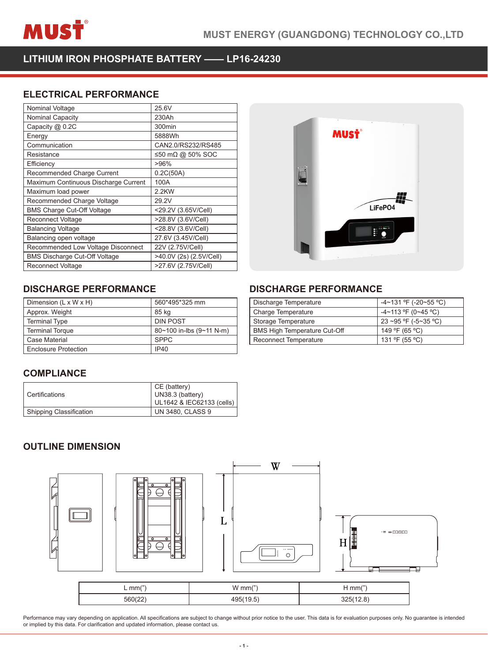

**LITHIUM IRON PHOSPHATE BATTERY —— LP16-24230**

## **ELECTRICAL PERFORMANCE**

| Nominal Voltage                      | 25.6V                   |
|--------------------------------------|-------------------------|
| Nominal Capacity                     | 230Ah                   |
| Capacity @ 0.2C                      | 300min                  |
| Energy                               | 5888Wh                  |
| Communication                        | CAN2.0/RS232/RS485      |
| Resistance                           | ≤50 mΩ @ 50% SOC        |
| Efficiency                           | >96%                    |
| Recommended Charge Current           | 0.2C(50A)               |
| Maximum Continuous Discharge Current | 100A                    |
| Maximum load power                   | 2.2KW                   |
| Recommended Charge Voltage           | 29.2V                   |
| <b>BMS Charge Cut-Off Voltage</b>    | <29.2V (3.65V/Cell)     |
| Reconnect Voltage                    | >28.8V (3.6V/Cell)      |
| <b>Balancing Voltage</b>             | <28.8V (3.6V/Cell)      |
| Balancing open voltage               | 27.6V (3.45V/Cell)      |
| Recommended Low Voltage Disconnect   | 22V (2.75V/Cell)        |
| <b>BMS Discharge Cut-Off Voltage</b> | >40.0V (2s) (2.5V/Cell) |
| <b>Reconnect Voltage</b>             | >27.6V (2.75V/Cell)     |



## **DISCHARGE PERFORMANCE DISCHARGE PERFORMANCE**

| Dimension (L x W x H)       | 560*495*325 mm           |
|-----------------------------|--------------------------|
| Approx. Weight              | 85 kg                    |
| <b>Terminal Type</b>        | <b>DIN POST</b>          |
| <b>Terminal Torque</b>      | 80~100 in-lbs (9~11 N-m) |
| <b>Case Material</b>        | <b>SPPC</b>              |
| <b>Enclosure Protection</b> | IP40                     |

## **COMPLIANCE**

| l Certifications        | CE (battery)<br>UN38.3 (battery)<br>UL1642 & IEC62133 (cells) |
|-------------------------|---------------------------------------------------------------|
| Shipping Classification | UN 3480, CLASS 9                                              |

| $-4 \sim 131$ °F (-20 $\sim$ 55 °C) |
|-------------------------------------|
| $-4 \sim 113$ °F (0~45 °C)          |
| 23 ~95 °F (-5~35 °C)                |
| 149 °F (65 °C)                      |
| 131 °F (55 °C)                      |
|                                     |

## **OUTLINE DIMENSION**



Performance may vary depending on application. All specifications are subject to change without prior notice to the user. This data is for evaluation purposes only. No guarantee is intended<br>or implied by this data. For cla